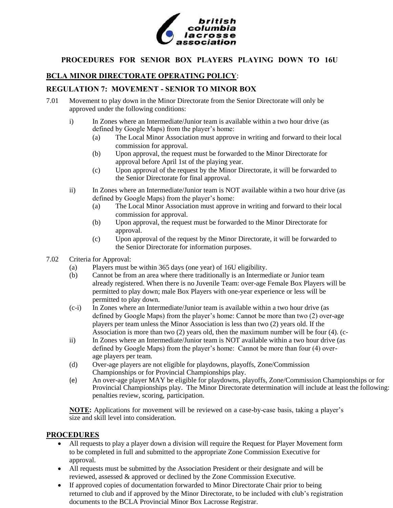

## **PROCEDURES FOR SENIOR BOX PLAYERS PLAYING DOWN TO 16U**

## **BCLA MINOR DIRECTORATE OPERATING POLICY**:

### **REGULATION 7: MOVEMENT - SENIOR TO MINOR BOX**

- 7.01 Movement to play down in the Minor Directorate from the Senior Directorate will only be approved under the following conditions:
	- i) In Zones where an Intermediate/Junior team is available within a two hour drive (as defined by Google Maps) from the player's home:
		- (a) The Local Minor Association must approve in writing and forward to their local commission for approval.
		- (b) Upon approval, the request must be forwarded to the Minor Directorate for approval before April 1st of the playing year.
		- (c) Upon approval of the request by the Minor Directorate, it will be forwarded to the Senior Directorate for final approval.
	- ii) In Zones where an Intermediate/Junior team is NOT available within a two hour drive (as defined by Google Maps) from the player's home:
		- (a) The Local Minor Association must approve in writing and forward to their local commission for approval.
		- (b) Upon approval, the request must be forwarded to the Minor Directorate for approval.
		- (c) Upon approval of the request by the Minor Directorate, it will be forwarded to the Senior Directorate for information purposes.
- 7.02 Criteria for Approval:
	- (a) Players must be within 365 days (one year) of 16U eligibility.
	- (b) Cannot be from an area where there traditionally is an Intermediate or Junior team already registered. When there is no Juvenile Team: over-age Female Box Players will be permitted to play down; male Box Players with one-year experience or less will be permitted to play down.
	- (c-i) In Zones where an Intermediate/Junior team is available within a two hour drive (as defined by Google Maps) from the player's home: Cannot be more than two (2) over-age players per team unless the Minor Association is less than two (2) years old. If the Association is more than two (2) years old, then the maximum number will be four (4). (c-
	- ii) In Zones where an Intermediate/Junior team is NOT available within a two hour drive (as defined by Google Maps) from the player's home: Cannot be more than four (4) overage players per team.
	- (d) Over-age players are not eligible for playdowns, playoffs, Zone/Commission Championships or for Provincial Championships play.
	- (e) An over-age player MAY be eligible for playdowns, playoffs, Zone/Commission Championships or for Provincial Championships play. The Minor Directorate determination will include at least the following: penalties review, scoring, participation.

**NOTE:** Applications for movement will be reviewed on a case-by-case basis, taking a player's size and skill level into consideration.

#### **PROCEDURES**

- All requests to play a player down a division will require the Request for Player Movement form to be completed in full and submitted to the appropriate Zone Commission Executive for approval.
- All requests must be submitted by the Association President or their designate and will be reviewed, assessed & approved or declined by the Zone Commission Executive.
- If approved copies of documentation forwarded to Minor Directorate Chair prior to being returned to club and if approved by the Minor Directorate, to be included with club's registration documents to the BCLA Provincial Minor Box Lacrosse Registrar.